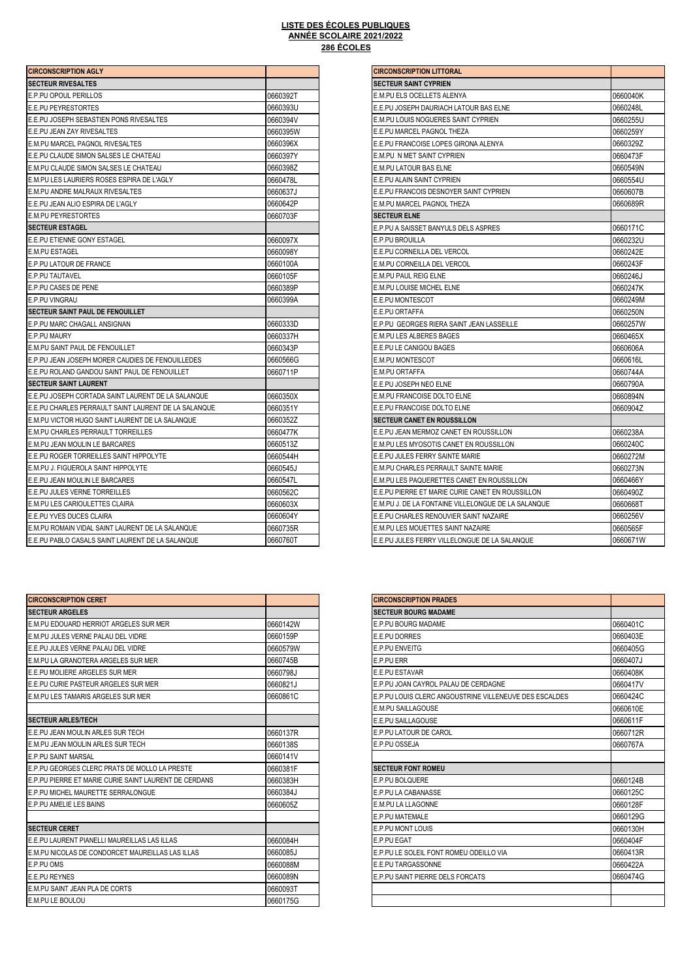## **286 ÉCOLES LISTE DES ÉCOLES PUBLIQUES ANNÉE SCOLAIRE 2021/2022**

| <b>CIRCONSCRIPTION AGLY</b>                          |          | <b>CIRCONSCRIPTION LITTORAL</b>                     |          |
|------------------------------------------------------|----------|-----------------------------------------------------|----------|
| <b>SECTEUR RIVESALTES</b>                            |          | <b>SECTEUR SAINT CYPRIEN</b>                        |          |
| E.P.PU OPOUL PERILLOS                                | 0660392T | E.M.PU ELS OCELLETS ALENYA                          | 0660040K |
| <b>E.E.PU PEYRESTORTES</b>                           | 0660393U | E.E.PU JOSEPH DAURIACH LATOUR BAS ELNE              | 0660248L |
| E.E.PU JOSEPH SEBASTIEN PONS RIVESALTES              | 0660394V | E.M.PU LOUIS NOGUERES SAINT CYPRIEN                 | 0660255U |
| E.E.PU JEAN ZAY RIVESALTES                           | 0660395W | E.E.PU MARCEL PAGNOL THEZA                          | 0660259Y |
| <b>E.M.PU MARCEL PAGNOL RIVESALTES</b>               | 0660396X | E.E.PU FRANCOISE LOPES GIRONA ALENYA                | 0660329Z |
| E.E.PU CLAUDE SIMON SALSES LE CHATEAU                | 0660397Y | <b>E.M.PU N MET SAINT CYPRIEN</b>                   | 0660473F |
| E.M.PU CLAUDE SIMON SALSES LE CHATEAU                | 0660398Z | E.M.PU LATOUR BAS ELNE                              | 0660549N |
| E.M.PU LES LAURIERS ROSES ESPIRA DE L'AGLY           | 0660478L | E.E.PU ALAIN SAINT CYPRIEN                          | 0660554U |
| E.M.PU ANDRE MALRAUX RIVESALTES                      | 0660637J | E.E.PU FRANCOIS DESNOYER SAINT CYPRIEN              | 0660607B |
| E.E.PU JEAN ALIO ESPIRA DE L'AGLY                    | 0660642P | E.M.PU MARCEL PAGNOL THEZA                          | 0660689R |
| <b>E.M.PU PEYRESTORTES</b>                           | 0660703F | <b>SECTEUR ELNE</b>                                 |          |
| <b>SECTEUR ESTAGEL</b>                               |          | E.P.PU A SAISSET BANYULS DELS ASPRES                | 0660171C |
| <b>IE.E.PU ETIENNE GONY ESTAGEL</b>                  | 0660097X | E.P.PU BROUILLA                                     | 0660232U |
| <b>E.M.PU ESTAGEL</b>                                | 0660098Y | E.E.PU CORNEILLA DEL VERCOL                         | 0660242E |
| E.P.PU LATOUR DE FRANCE                              | 0660100A | E.M.PU CORNEILLA DEL VERCOL                         | 0660243F |
| E.P.PU TAUTAVEL                                      | 0660105F | E.M.PU PAUL REIG ELNE                               | 0660246J |
| E.P.PU CASES DE PENE                                 | 0660389P | E.M.PU LOUISE MICHEL ELNE                           | 0660247K |
| E.P.PU VINGRAU                                       | 0660399A | E.E.PU MONTESCOT                                    | 0660249M |
| <b>SECTEUR SAINT PAUL DE FENOUILLET</b>              |          | E.E.PU ORTAFFA                                      | 0660250N |
| E.P.PU MARC CHAGALL ANSIGNAN                         | 0660333D | E.P.PU GEORGES RIERA SAINT JEAN LASSEILLE           | 0660257W |
| E.P.PU MAURY                                         | 0660337H | E.M.PU LES ALBERES BAGES                            | 0660465X |
| E.M.PU SAINT PAUL DE FENOUILLET                      | 0660343P | E.E.PU LE CANIGOU BAGES                             | 0660606A |
| E.P.PU JEAN JOSEPH MORER CAUDIES DE FENOUILLEDES     | 0660566G | <b>E.M.PU MONTESCOT</b>                             | 0660616L |
| E.E.PU ROLAND GANDOU SAINT PAUL DE FENOUILLET        | 0660711P | E.M.PU ORTAFFA                                      | 0660744A |
| <b>SECTEUR SAINT LAURENT</b>                         |          | E.E.PU JOSEPH NEO ELNE                              | 0660790A |
| E.E.PU JOSEPH CORTADA SAINT LAURENT DE LA SALANQUE   | 0660350X | E.M.PU FRANCOISE DOLTO ELNE                         | 0660894N |
| E.E.PU CHARLES PERRAULT SAINT LAURENT DE LA SALANQUE | 0660351Y | E.E.PU FRANCOISE DOLTO ELNE                         | 0660904Z |
| E.M.PU VICTOR HUGO SAINT LAURENT DE LA SALANQUE      | 0660352Z | <b>SECTEUR CANET EN ROUSSILLON</b>                  |          |
| <b>E.M.PU CHARLES PERRAULT TORREILLES</b>            | 0660477K | E.E.PU JEAN MERMOZ CANET EN ROUSSILLON              | 0660238A |
| E.M.PU JEAN MOULIN LE BARCARES                       | 0660513Z | E.M.PU LES MYOSOTIS CANET EN ROUSSILLON             | 0660240C |
| E.E.PU ROGER TORREILLES SAINT HIPPOLYTE              | 0660544H | E.E.PU JULES FERRY SAINTE MARIE                     | 0660272M |
| E.M.PU J. FIGUEROLA SAINT HIPPOLYTE                  | 0660545J | E.M.PU CHARLES PERRAULT SAINTE MARIE                | 0660273N |
| E.E.PU JEAN MOULIN LE BARCARES                       | 0660547L | E.M.PU LES PAQUERETTES CANET EN ROUSSILLON          | 0660466Y |
| E.E.PU JULES VERNE TORREILLES                        | 0660562C | E.E.PU PIERRE ET MARIE CURIE CANET EN ROUSSILLON    | 0660490Z |
| E.M.PU LES CARIOULETTES CLAIRA                       | 0660603X | E.M.PU J. DE LA FONTAINE VILLELONGUE DE LA SALANQUE | 0660668T |
| E.E.PU YVES DUCES CLAIRA                             | 0660604Y | E.E.PU CHARLES RENOUVIER SAINT NAZAIRE              | 0660256V |
| E.M.PU ROMAIN VIDAL SAINT LAURENT DE LA SALANQUE     | 0660735R | E.M.PU LES MOUETTES SAINT NAZAIRE                   | 0660565F |
| E.E.PU PABLO CASALS SAINT LAURENT DE LA SALANQUE     | 0660760T | E.E.PU JULES FERRY VILLELONGUE DE LA SALANQUE       | 0660671W |

| <b>CIRCONSCRIPTION CERET</b>                            |          | <b>CIRCONSCRIPTION PRADES</b>                          |          |
|---------------------------------------------------------|----------|--------------------------------------------------------|----------|
| <b>SECTEUR ARGELES</b>                                  |          | <b>SECTEUR BOURG MADAME</b>                            |          |
| E.M.PU EDOUARD HERRIOT ARGELES SUR MER                  | 0660142W | <b>E.P.PU BOURG MADAME</b>                             | 0660401C |
| E.M.PU JULES VERNE PALAU DEL VIDRE                      | 0660159P | E.E.PU DORRES                                          | 0660403E |
| E.E.PU JULES VERNE PALAU DEL VIDRE                      | 0660579W | E.P.PU ENVEITG                                         | 0660405C |
| E.M.PU LA GRANOTERA ARGELES SUR MER                     | 0660745B | E.P.PU ERR                                             | 0660407J |
| <b>E.E.PU MOLIERE ARGELES SUR MER</b>                   | 0660798J | E.E.PU ESTAVAR                                         | 0660408K |
| <b>E.E.PU CURIE PASTEUR ARGELES SUR MER</b>             | 0660821J | E.P.PU JOAN CAYROL PALAU DE CERDAGNE                   | 0660417V |
| E.M.PU LES TAMARIS ARGELES SUR MER                      | 0660861C | E.P.PU LOUIS CLERC ANGOUSTRINE VILLENEUVE DES ESCALDES | 0660424C |
|                                                         |          | <b>E.M.PU SAILLAGOUSE</b>                              | 0660610E |
| <b>SECTEUR ARLES/TECH</b>                               |          | E.E.PU SAILLAGOUSE                                     | 0660611F |
| <b>E.E.PU JEAN MOULIN ARLES SUR TECH</b>                | 0660137R | E.P.PU LATOUR DE CAROL                                 | 0660712F |
| <b>E.M.PU JEAN MOULIN ARLES SUR TECH</b>                | 0660138S | E.P.PU OSSEJA                                          | 0660767A |
| <b>E.P.PU SAINT MARSAL</b>                              | 0660141V |                                                        |          |
| E.P.PU GEORGES CLERC PRATS DE MOLLO LA PRESTE           | 0660381F | <b>SECTEUR FONT ROMEU</b>                              |          |
| E.P.PU PIERRE ET MARIE CURIE SAINT LAURENT DE CERDANS   | 0660383H | <b>E.P.PU BOLQUERE</b>                                 | 0660124B |
| E.P.PU MICHEL MAURETTE SERRALONGUE                      | 0660384J | E.P.PU LA CABANASSE                                    | 0660125C |
| E.P.PU AMELIE LES BAINS                                 | 0660605Z | E.M.PU LA LLAGONNE                                     | 0660128F |
|                                                         |          | E.P.PU MATEMALE                                        | 0660129G |
| <b>SECTEUR CERET</b>                                    |          | E.P.PU MONT LOUIS                                      | 0660130H |
| E.E.PU LAURENT PIANELLI MAUREILLAS LAS ILLAS            | 0660084H | E.P.PU EGAT                                            | 0660404F |
| <b>E.M.PU NICOLAS DE CONDORCET MAUREILLAS LAS ILLAS</b> | 0660085J | E.P.PU LE SOLEIL FONT ROMEU ODEILLO VIA                | 0660413R |
| E.P.PU OMS                                              | 0660088M | E.E.PU TARGASSONNE                                     | 0660422A |
| <b>E.E.PU REYNES</b>                                    | 0660089N | E.P.PU SAINT PIERRE DELS FORCATS                       | 0660474G |
| E.M.PU SAINT JEAN PLA DE CORTS                          | 0660093T |                                                        |          |
| E.M.PU LE BOULOU                                        | 0660175G |                                                        |          |

| <b>CIRCONSCRIPTION LITTORAL</b>                     |          |
|-----------------------------------------------------|----------|
| <b>SECTEUR SAINT CYPRIEN</b>                        |          |
| E.M.PU ELS OCELLETS ALENYA                          | 0660040K |
| E.E.PU JOSEPH DAURIACH LATOUR BAS ELNE              | 0660248L |
| E.M.PU LOUIS NOGUERES SAINT CYPRIEN                 | 0660255U |
| E.E.PU MARCEL PAGNOL THEZA                          | 0660259Y |
| E.E.PU FRANCOISE LOPES GIRONA ALENYA                | 0660329Z |
| E.M.PU N MET SAINT CYPRIEN                          | 0660473F |
| E.M.PU LATOUR BAS ELNE                              | 0660549N |
| E.E.PU ALAIN SAINT CYPRIEN                          | 0660554U |
| E.E.PU FRANCOIS DESNOYER SAINT CYPRIEN              | 0660607B |
| E.M.PU MARCEL PAGNOL THEZA                          | 0660689R |
| <b>SECTEUR ELNE</b>                                 |          |
| E.P.PU A SAISSET BANYULS DELS ASPRES                | 0660171C |
| E.P.PU BROUILLA                                     | 0660232U |
| E.E.PU CORNEILLA DEL VERCOL                         | 0660242E |
| E.M.PU CORNEILLA DEL VERCOL                         | 0660243F |
| E.M.PU PAUL REIG ELNE                               | 0660246J |
| E.M.PU LOUISE MICHEL ELNE                           | 0660247K |
| E.E.PU MONTESCOT                                    | 0660249M |
| E.E.PU ORTAFFA                                      | 0660250N |
| E.P.PU GEORGES RIERA SAINT JEAN LASSEILLE           | 0660257W |
| E.M.PU LES ALBERES BAGES                            | 0660465X |
| E.E.PU LE CANIGOU BAGES                             | 0660606A |
| <b>E.M.PU MONTESCOT</b>                             | 0660616L |
| E.M.PU ORTAFFA                                      | 0660744A |
| E.E.PU JOSEPH NEO ELNE                              | 0660790A |
| E.M.PU FRANCOISE DOLTO ELNE                         | 0660894N |
| E.E.PU FRANCOISE DOLTO ELNE                         | 0660904Z |
| SECTEUR CANET EN ROUSSILLON                         |          |
| E.E.PU JEAN MERMOZ CANET EN ROUSSILLON              | 0660238A |
| E.M.PU LES MYOSOTIS CANET EN ROUSSILLON             | 0660240C |
| E.E.PU JULES FERRY SAINTE MARIE                     | 0660272M |
| E.M.PU CHARLES PERRAULT SAINTE MARIE                | 0660273N |
| E.M.PU LES PAQUERETTES CANET EN ROUSSILLON          | 0660466Y |
| E.E.PU PIERRE ET MARIE CURIE CANET EN ROUSSILLON    | 0660490Z |
| E.M.PU J. DE LA FONTAINE VILLELONGUE DE LA SALANQUE | 0660668T |
| E.E.PU CHARLES RENOUVIER SAINT NAZAIRE              | 0660256V |
| E.M.PU LES MOUETTES SAINT NAZAIRE                   | 0660565F |
| E.E.PU JULES FERRY VILLELONGUE DE LA SALANQUE       | 0660671W |

| <b>CIRCONSCRIPTION PRADES</b>                          |          |
|--------------------------------------------------------|----------|
| <b>SECTEUR BOURG MADAME</b>                            |          |
| E.P.PU BOURG MADAME                                    | 0660401C |
| E.E.PU DORRES                                          | 0660403E |
| <b>E.P.PU ENVEITG</b>                                  | 0660405G |
| E.P.PU ERR                                             | 0660407J |
| E.E.PU ESTAVAR                                         | 0660408K |
| E.P.PU JOAN CAYROL PALAU DE CERDAGNE                   | 0660417V |
| E.P.PU LOUIS CLERC ANGOUSTRINE VILLENEUVE DES ESCALDES | 0660424C |
| E.M.PU SAILLAGOUSE                                     | 0660610E |
| E.E.PU SAILLAGOUSE                                     | 0660611F |
| E.P.PU LATOUR DE CAROL                                 | 0660712R |
| E.P.PU OSSEJA                                          | 0660767A |
|                                                        |          |
| <b>SECTEUR FONT ROMEU</b>                              |          |
| E.P.PU BOLOUERE                                        | 0660124B |
| E.P.PU LA CABANASSE                                    | 0660125C |
| <b>E.M.PU LA LLAGONNE</b>                              | 0660128F |
| <b>E.P.PU MATEMALE</b>                                 | 0660129G |
| <b>E.P.PU MONT LOUIS</b>                               | 0660130H |
| E.P.PU EGAT                                            | 0660404F |
| E.P.PU LE SOLEIL FONT ROMEU ODEILLO VIA                | 0660413R |
| E.E.PU TARGASSONNE                                     | 0660422A |
| E.P.PU SAINT PIERRE DELS FORCATS                       | 0660474G |
|                                                        |          |
|                                                        |          |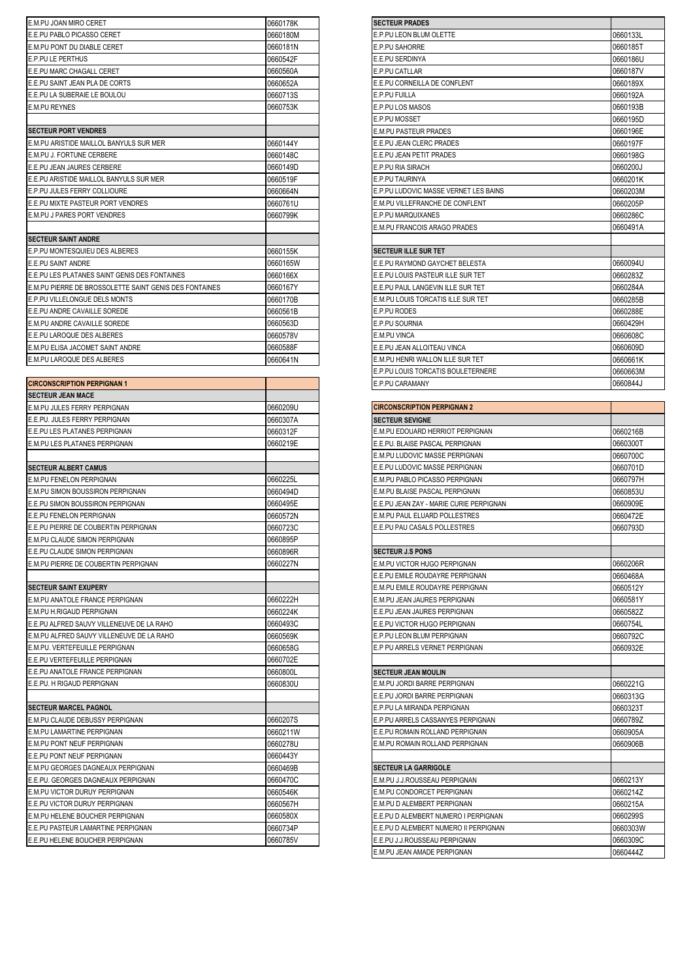| E.M.PU JOAN MIRO CERET                                 | 0660178K | <b>SECTEUR PRADES</b>                 |          |
|--------------------------------------------------------|----------|---------------------------------------|----------|
| E.E.PU PABLO PICASSO CERET                             | 0660180M | E.P.PU LEON BLUM OLETTE               | 0660133L |
| <b>E.M.PU PONT DU DIABLE CERET</b>                     | 0660181N | <b>E.P.PU SAHORRE</b>                 | 0660185T |
| <b>E.P.PU LE PERTHUS</b>                               | 0660542F | E.E.PU SERDINYA                       | 0660186U |
| E.E.PU MARC CHAGALL CERET                              | 0660560A | <b>E.P.PU CATLLAR</b>                 | 0660187V |
| E.E.PU SAINT JEAN PLA DE CORTS                         | 0660652A | E.E.PU CORNEILLA DE CONFLENT          | 0660189X |
| E.E.PU LA SUBERAIE LE BOULOU                           | 0660713S | <b>E.P.PU FUILLA</b>                  | 0660192A |
| <b>E.M.PU REYNES</b>                                   | 0660753K | E.P.PU LOS MASOS                      | 0660193B |
|                                                        |          | <b>E.P.PU MOSSET</b>                  | 0660195D |
| <b>SECTEUR PORT VENDRES</b>                            |          | <b>E.M.PU PASTEUR PRADES</b>          | 0660196E |
| E.M.PU ARISTIDE MAILLOL BANYULS SUR MER                | 0660144Y | E.E.PU JEAN CLERC PRADES              | 0660197F |
| E.M.PU J. FORTUNE CERBERE                              | 0660148C | E.E.PU JEAN PETIT PRADES              | 0660198G |
| E.E.PU JEAN JAURES CERBERE                             | 0660149D | <b>E.P.PU RIA SIRACH</b>              | 0660200J |
| E.E.PU ARISTIDE MAILLOL BANYULS SUR MER                | 0660519F | E.P.PU TAURINYA                       | 0660201K |
| E.P.PU JULES FERRY COLLIOURE                           | 0660664N | E.P.PU LUDOVIC MASSE VERNET LES BAINS | 0660203M |
| E.E.PU MIXTE PASTEUR PORT VENDRES                      | 0660761U | E.M.PU VILLEFRANCHE DE CONFLENT       | 0660205P |
| E.M.PU J PARES PORT VENDRES                            | 0660799K | E.P.PU MAROUIXANES                    | 0660286C |
|                                                        |          | E.M.PU FRANCOIS ARAGO PRADES          | 0660491A |
| <b>SECTEUR SAINT ANDRE</b>                             |          |                                       |          |
| E.P.PU MONTESQUIEU DES ALBERES                         | 0660155K | <b>SECTEUR ILLE SUR TET</b>           |          |
| <b>E.E.PU SAINT ANDRE</b>                              | 0660165W | E.E.PU RAYMOND GAYCHET BELESTA        | 0660094U |
| E.E.PU LES PLATANES SAINT GENIS DES FONTAINES          | 0660166X | E.E.PU LOUIS PASTEUR ILLE SUR TET     | 0660283Z |
| E.M.PU PIERRE DE BROSSOLETTE SAINT GENIS DES FONTAINES | 0660167Y | E.E.PU PAUL LANGEVIN ILLE SUR TET     | 0660284A |
| E.P.PU VILLELONGUE DELS MONTS                          | 0660170B | E.M.PU LOUIS TORCATIS ILLE SUR TET    | 0660285B |
| E.E.PU ANDRE CAVAILLE SOREDE                           | 0660561B | <b>E.P.PU RODES</b>                   | 0660288E |
| E.M.PU ANDRE CAVAILLE SOREDE                           | 0660563D | <b>E.P.PU SOURNIA</b>                 | 0660429H |
| E.E.PU LAROQUE DES ALBERES                             | 0660578V | <b>E.M.PU VINCA</b>                   | 0660608C |
| E.M.PU ELISA JACOMET SAINT ANDRE                       | 0660588F | E.E.PU JEAN ALLOITEAU VINCA           | 0660609D |
| E.M.PU LAROQUE DES ALBERES                             | 0660641N | E.M.PU HENRI WALLON ILLE SUR TET      | 0660661K |
|                                                        |          |                                       |          |

| <b>CIRCONSCRIPTION PERPIGNAN 1</b>        |          | E.P.PU CARAMANY                         | 0660844J |
|-------------------------------------------|----------|-----------------------------------------|----------|
| <b>SECTEUR JEAN MACE</b>                  |          |                                         |          |
| E.M.PU JULES FERRY PERPIGNAN              | 0660209U | <b>CIRCONSCRIPTION PERPIGNAN 2</b>      |          |
| E.E.PU. JULES FERRY PERPIGNAN             | 0660307A | <b>SECTEUR SEVIGNE</b>                  |          |
| E.E.PU LES PLATANES PERPIGNAN             | 0660312F | E.M.PU EDOUARD HERRIOT PERPIGNAN        | 0660216B |
| E.M.PU LES PLATANES PERPIGNAN             | 0660219E | E.E.PU. BLAISE PASCAL PERPIGNAN         | 0660300T |
|                                           |          | E.M.PU LUDOVIC MASSE PERPIGNAN          | 0660700C |
| <b>SECTEUR ALBERT CAMUS</b>               |          | E.E.PU LUDOVIC MASSE PERPIGNAN          | 0660701D |
| <b>E.M.PU FENELON PERPIGNAN</b>           | 0660225L | E.M.PU PABLO PICASSO PERPIGNAN          | 0660797H |
| <b>E.M.PU SIMON BOUSSIRON PERPIGNAN</b>   | 0660494D | E.M.PU BLAISE PASCAL PERPIGNAN          | 0660853U |
| E.E.PU SIMON BOUSSIRON PERPIGNAN          | 0660495E | E.E.PU JEAN ZAY - MARIE CURIE PERPIGNAN | 0660909E |
| E.E.PU FENELON PERPIGNAN                  | 0660572N | E.M.PU PAUL ELUARD POLLESTRES           | 0660472E |
| E.E.PU PIERRE DE COUBERTIN PERPIGNAN      | 0660723C | E.E.PU PAU CASALS POLLESTRES            | 0660793D |
| <b>E.M.PU CLAUDE SIMON PERPIGNAN</b>      | 0660895P |                                         |          |
| E.E.PU CLAUDE SIMON PERPIGNAN             | 0660896R | <b>SECTEUR J.S PONS</b>                 |          |
| E.M.PU PIERRE DE COUBERTIN PERPIGNAN      | 0660227N | E.M.PU VICTOR HUGO PERPIGNAN            | 0660206R |
|                                           |          | E.E.PU EMILE ROUDAYRE PERPIGNAN         | 0660468A |
| <b>SECTEUR SAINT EXUPERY</b>              |          | E.M.PU EMILE ROUDAYRE PERPIGNAN         | 0660512Y |
| E.M.PU ANATOLE FRANCE PERPIGNAN           | 0660222H | E.M.PU JEAN JAURES PERPIGNAN            | 0660581Y |
| E.M.PU H.RIGAUD PERPIGNAN                 | 0660224K | E.E.PU JEAN JAURES PERPIGNAN            | 0660582Z |
| E.E.PU ALFRED SAUVY VILLENEUVE DE LA RAHO | 0660493C | E.E.PU VICTOR HUGO PERPIGNAN            | 0660754L |
| E.M.PU ALFRED SAUVY VILLENEUVE DE LA RAHO | 0660569K | E.P.PU LEON BLUM PERPIGNAN              | 0660792C |
| <b>IE.M.PU. VERTEFEUILLE PERPIGNAN</b>    | 0660658G | E.P PU ARRELS VERNET PERPIGNAN          | 0660932E |
| <b>IE.E.PU VERTEFEUILLE PERPIGNAN</b>     | 0660702E |                                         |          |
| <b>E.E.PU ANATOLE FRANCE PERPIGNAN</b>    | 0660800L | <b>SECTEUR JEAN MOULIN</b>              |          |
| E.E.PU. H RIGAUD PERPIGNAN                | 0660830U | E.M.PU JORDI BARRE PERPIGNAN            | 0660221G |
|                                           |          | E.E.PU JORDI BARRE PERPIGNAN            | 0660313G |
| <b>SECTEUR MARCEL PAGNOL</b>              |          | E.P.PU LA MIRANDA PERPIGNAN             | 0660323T |
| E.M.PU CLAUDE DEBUSSY PERPIGNAN           | 0660207S | E.P.PU ARRELS CASSANYES PERPIGNAN       | 0660789Z |
| E.M.PU LAMARTINE PERPIGNAN                | 0660211W | E.E.PU ROMAIN ROLLAND PERPIGNAN         | 0660905A |
| E.M.PU PONT NEUF PERPIGNAN                | 0660278U | E.M.PU ROMAIN ROLLAND PERPIGNAN         | 0660906B |
| <b>E.E.PU PONT NEUF PERPIGNAN</b>         | 0660443Y |                                         |          |
| <b>E.M.PU GEORGES DAGNEAUX PERPIGNAN</b>  | 0660469B | <b>SECTEUR LA GARRIGOLE</b>             |          |
| E.E.PU. GEORGES DAGNEAUX PERPIGNAN        | 0660470C | E.M.PU J.J.ROUSSEAU PERPIGNAN           | 0660213Y |
| <b>E.M.PU VICTOR DURUY PERPIGNAN</b>      | 0660546K | E.M.PU CONDORCET PERPIGNAN              | 0660214Z |
| E.E.PU VICTOR DURUY PERPIGNAN             | 0660567H | E.M.PU D ALEMBERT PERPIGNAN             | 0660215A |
| E.M.PU HELENE BOUCHER PERPIGNAN           | 0660580X | E.E.PU D ALEMBERT NUMERO I PERPIGNAN    | 0660299S |
| E.E.PU PASTEUR LAMARTINE PERPIGNAN        | 0660734P | E.E.PU D ALEMBERT NUMERO II PERPIGNAN   | 0660303W |
| <b>E.E.PU HELENE BOUCHER PERPIGNAN</b>    | 0660785V | E.E.PU J.J.ROUSSEAU PERPIGNAN           | 0660309C |
|                                           |          |                                         |          |

| 0660133L<br>E.P.PU LEON BLUM OLETTE<br>E.P.PU SAHORRE<br>0660185T<br>0660186U<br>0660187V<br>E.P.PU CATLLAR<br>E.E.PU CORNEILLA DE CONFLENT<br>0660189X<br>E.P.PU FUILLA<br>0660192A<br>E.P.PU LOS MASOS<br>0660193B<br>E.P.PU MOSSET<br>0660195D<br><b>E.M.PU PASTEUR PRADES</b><br>0660196E<br>0660197F<br>E.E.PU JEAN CLERC PRADES<br>0660198G<br>E.E.PU JEAN PETIT PRADES<br>E.P.PU RIA SIRACH<br>0660200J<br>E.P.PU TAURINYA<br>0660201K<br>E.P.PU LUDOVIC MASSE VERNET LES BAINS<br>0660203M<br>E.M.PU VILLEFRANCHE DE CONFLENT<br>0660205P<br>0660286C<br>E.P.PU MARQUIXANES<br>E.M.PU FRANCOIS ARAGO PRADES<br>0660491A<br>E.E.PU RAYMOND GAYCHET BELESTA<br>0660094U<br>E.E.PU LOUIS PASTEUR ILLE SUR TET<br>0660283Z<br>E.E.PU PAUL LANGEVIN ILLE SUR TET<br>0660284A<br>E.M.PU LOUIS TORCATIS ILLE SUR TET<br>0660285B<br>E.P.PU RODES<br>0660288E<br>0660429H<br>E.M.PU VINCA<br>0660608C<br>E.E.PU JEAN ALLOITEAU VINCA<br>0660609D<br>E.M.PU HENRI WALLON ILLE SUR TET<br>0660661K<br>E.P.PU LOUIS TORCATIS BOULETERNERE<br>0660663M<br>0660844J<br>E.P.PU CARAMANY | SECTEUR PRADES              |  |
|-----------------------------------------------------------------------------------------------------------------------------------------------------------------------------------------------------------------------------------------------------------------------------------------------------------------------------------------------------------------------------------------------------------------------------------------------------------------------------------------------------------------------------------------------------------------------------------------------------------------------------------------------------------------------------------------------------------------------------------------------------------------------------------------------------------------------------------------------------------------------------------------------------------------------------------------------------------------------------------------------------------------------------------------------------------------------------------|-----------------------------|--|
|                                                                                                                                                                                                                                                                                                                                                                                                                                                                                                                                                                                                                                                                                                                                                                                                                                                                                                                                                                                                                                                                                   |                             |  |
|                                                                                                                                                                                                                                                                                                                                                                                                                                                                                                                                                                                                                                                                                                                                                                                                                                                                                                                                                                                                                                                                                   |                             |  |
|                                                                                                                                                                                                                                                                                                                                                                                                                                                                                                                                                                                                                                                                                                                                                                                                                                                                                                                                                                                                                                                                                   | E.E.PU SERDINYA             |  |
|                                                                                                                                                                                                                                                                                                                                                                                                                                                                                                                                                                                                                                                                                                                                                                                                                                                                                                                                                                                                                                                                                   |                             |  |
|                                                                                                                                                                                                                                                                                                                                                                                                                                                                                                                                                                                                                                                                                                                                                                                                                                                                                                                                                                                                                                                                                   |                             |  |
|                                                                                                                                                                                                                                                                                                                                                                                                                                                                                                                                                                                                                                                                                                                                                                                                                                                                                                                                                                                                                                                                                   |                             |  |
|                                                                                                                                                                                                                                                                                                                                                                                                                                                                                                                                                                                                                                                                                                                                                                                                                                                                                                                                                                                                                                                                                   |                             |  |
|                                                                                                                                                                                                                                                                                                                                                                                                                                                                                                                                                                                                                                                                                                                                                                                                                                                                                                                                                                                                                                                                                   |                             |  |
|                                                                                                                                                                                                                                                                                                                                                                                                                                                                                                                                                                                                                                                                                                                                                                                                                                                                                                                                                                                                                                                                                   |                             |  |
|                                                                                                                                                                                                                                                                                                                                                                                                                                                                                                                                                                                                                                                                                                                                                                                                                                                                                                                                                                                                                                                                                   |                             |  |
|                                                                                                                                                                                                                                                                                                                                                                                                                                                                                                                                                                                                                                                                                                                                                                                                                                                                                                                                                                                                                                                                                   |                             |  |
|                                                                                                                                                                                                                                                                                                                                                                                                                                                                                                                                                                                                                                                                                                                                                                                                                                                                                                                                                                                                                                                                                   |                             |  |
|                                                                                                                                                                                                                                                                                                                                                                                                                                                                                                                                                                                                                                                                                                                                                                                                                                                                                                                                                                                                                                                                                   |                             |  |
|                                                                                                                                                                                                                                                                                                                                                                                                                                                                                                                                                                                                                                                                                                                                                                                                                                                                                                                                                                                                                                                                                   |                             |  |
|                                                                                                                                                                                                                                                                                                                                                                                                                                                                                                                                                                                                                                                                                                                                                                                                                                                                                                                                                                                                                                                                                   |                             |  |
|                                                                                                                                                                                                                                                                                                                                                                                                                                                                                                                                                                                                                                                                                                                                                                                                                                                                                                                                                                                                                                                                                   |                             |  |
|                                                                                                                                                                                                                                                                                                                                                                                                                                                                                                                                                                                                                                                                                                                                                                                                                                                                                                                                                                                                                                                                                   |                             |  |
|                                                                                                                                                                                                                                                                                                                                                                                                                                                                                                                                                                                                                                                                                                                                                                                                                                                                                                                                                                                                                                                                                   | <b>SECTEUR ILLE SUR TET</b> |  |
|                                                                                                                                                                                                                                                                                                                                                                                                                                                                                                                                                                                                                                                                                                                                                                                                                                                                                                                                                                                                                                                                                   |                             |  |
|                                                                                                                                                                                                                                                                                                                                                                                                                                                                                                                                                                                                                                                                                                                                                                                                                                                                                                                                                                                                                                                                                   |                             |  |
|                                                                                                                                                                                                                                                                                                                                                                                                                                                                                                                                                                                                                                                                                                                                                                                                                                                                                                                                                                                                                                                                                   |                             |  |
|                                                                                                                                                                                                                                                                                                                                                                                                                                                                                                                                                                                                                                                                                                                                                                                                                                                                                                                                                                                                                                                                                   |                             |  |
|                                                                                                                                                                                                                                                                                                                                                                                                                                                                                                                                                                                                                                                                                                                                                                                                                                                                                                                                                                                                                                                                                   |                             |  |
|                                                                                                                                                                                                                                                                                                                                                                                                                                                                                                                                                                                                                                                                                                                                                                                                                                                                                                                                                                                                                                                                                   | E.P.PU SOURNIA              |  |
|                                                                                                                                                                                                                                                                                                                                                                                                                                                                                                                                                                                                                                                                                                                                                                                                                                                                                                                                                                                                                                                                                   |                             |  |
|                                                                                                                                                                                                                                                                                                                                                                                                                                                                                                                                                                                                                                                                                                                                                                                                                                                                                                                                                                                                                                                                                   |                             |  |
|                                                                                                                                                                                                                                                                                                                                                                                                                                                                                                                                                                                                                                                                                                                                                                                                                                                                                                                                                                                                                                                                                   |                             |  |
|                                                                                                                                                                                                                                                                                                                                                                                                                                                                                                                                                                                                                                                                                                                                                                                                                                                                                                                                                                                                                                                                                   |                             |  |
|                                                                                                                                                                                                                                                                                                                                                                                                                                                                                                                                                                                                                                                                                                                                                                                                                                                                                                                                                                                                                                                                                   |                             |  |

| <b>CIRCONSCRIPTION PERPIGNAN 2</b>      |          |
|-----------------------------------------|----------|
| <b>SECTEUR SEVIGNE</b>                  |          |
| E.M.PU EDOUARD HERRIOT PERPIGNAN        | 0660216B |
| E.E.PU. BLAISE PASCAL PERPIGNAN         | 0660300T |
| E.M.PU LUDOVIC MASSE PERPIGNAN          | 0660700C |
| E.E.PU LUDOVIC MASSE PERPIGNAN          | 0660701D |
| E.M.PU PABLO PICASSO PERPIGNAN          | 0660797H |
| E.M.PU BLAISE PASCAL PERPIGNAN          | 0660853U |
| E.E.PU JEAN ZAY - MARIE CURIE PERPIGNAN | 0660909E |
| E.M.PU PAUL ELUARD POLLESTRES           | 0660472E |
| E.E.PU PAU CASALS POLLESTRES            | 0660793D |
|                                         |          |
| <b>SECTEUR J.S PONS</b>                 |          |
| E.M.PU VICTOR HUGO PERPIGNAN            | 0660206R |
| E.E.PU EMILE ROUDAYRE PERPIGNAN         | 0660468A |
| E.M.PU EMILE ROUDAYRE PERPIGNAN         | 0660512Y |
| E.M.PU JEAN JAURES PERPIGNAN            | 0660581Y |
| E.E.PU JEAN JAURES PERPIGNAN            | 0660582Z |
| E.E.PU VICTOR HUGO PERPIGNAN            | 0660754L |
| E.P.PU LEON BLUM PERPIGNAN              | 0660792C |
| E.P PU ARRELS VERNET PERPIGNAN          | 0660932E |
| <b>SECTEUR JEAN MOULIN</b>              |          |
| E.M.PU JORDI BARRE PERPIGNAN            | 0660221G |
| E.E.PU JORDI BARRE PERPIGNAN            | 0660313G |
| E.P.PU LA MIRANDA PERPIGNAN             | 0660323T |
| E.P.PU ARRELS CASSANYES PERPIGNAN       | 0660789Z |
| E.E.PU ROMAIN ROLLAND PERPIGNAN         | 0660905A |
| E.M.PU ROMAIN ROLLAND PERPIGNAN         | 0660906B |
|                                         |          |
| <b>SECTEUR LA GARRIGOLE</b>             |          |
| E.M.PU J.J.ROUSSEAU PERPIGNAN           | 0660213Y |
| E.M.PU CONDORCET PERPIGNAN              | 0660214Z |
| E.M.PU D ALEMBERT PERPIGNAN             | 0660215A |
| E.E.PU D ALEMBERT NUMERO I PERPIGNAN    | 0660299S |
| E.E.PU D ALEMBERT NUMERO II PERPIGNAN   | 0660303W |
| E.E.PU J.J.ROUSSEAU PERPIGNAN           | 0660309C |
| E.M.PU JEAN AMADE PERPIGNAN             | 0660444Z |